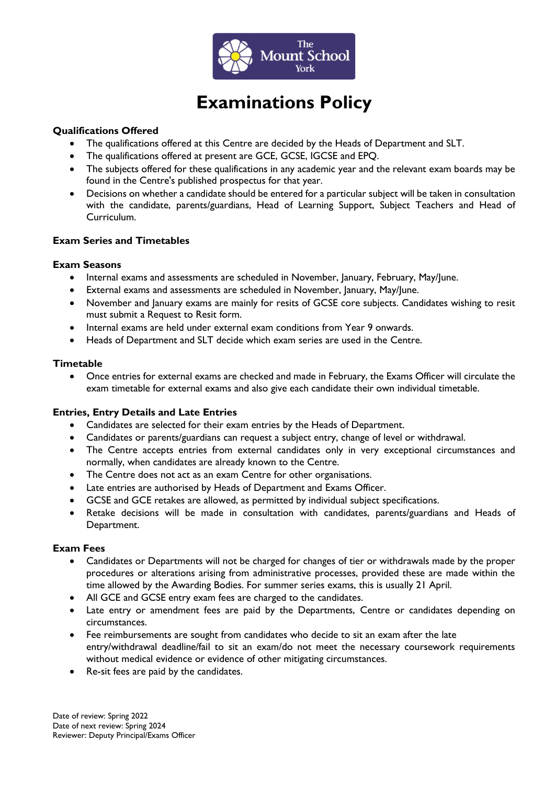

# **Examinations Policy**

#### **Qualifications Offered**

- The qualifications offered at this Centre are decided by the Heads of Department and SLT.
- The qualifications offered at present are GCE, GCSE, IGCSE and EPQ.
- The subjects offered for these qualifications in any academic year and the relevant exam boards may be found in the Centre's published prospectus for that year.
- Decisions on whether a candidate should be entered for a particular subject will be taken in consultation with the candidate, parents/guardians, Head of Learning Support, Subject Teachers and Head of Curriculum.

## **Exam Series and Timetables**

#### **Exam Seasons**

- Internal exams and assessments are scheduled in November, January, February, May/June.
- External exams and assessments are scheduled in November, January, May/June.
- November and January exams are mainly for resits of GCSE core subjects. Candidates wishing to resit must submit a Request to Resit form.
- Internal exams are held under external exam conditions from Year 9 onwards.
- Heads of Department and SLT decide which exam series are used in the Centre.

#### **Timetable**

• Once entries for external exams are checked and made in February, the Exams Officer will circulate the exam timetable for external exams and also give each candidate their own individual timetable.

#### **Entries, Entry Details and Late Entries**

- Candidates are selected for their exam entries by the Heads of Department.
- Candidates or parents/guardians can request a subject entry, change of level or withdrawal.
- The Centre accepts entries from external candidates only in very exceptional circumstances and normally, when candidates are already known to the Centre.
- The Centre does not act as an exam Centre for other organisations.
- Late entries are authorised by Heads of Department and Exams Officer.
- GCSE and GCE retakes are allowed, as permitted by individual subject specifications.
- Retake decisions will be made in consultation with candidates, parents/guardians and Heads of Department.

#### **Exam Fees**

- Candidates or Departments will not be charged for changes of tier or withdrawals made by the proper procedures or alterations arising from administrative processes, provided these are made within the time allowed by the Awarding Bodies. For summer series exams, this is usually 21 April.
- All GCE and GCSE entry exam fees are charged to the candidates.
- Late entry or amendment fees are paid by the Departments, Centre or candidates depending on circumstances.
- Fee reimbursements are sought from candidates who decide to sit an exam after the late entry/withdrawal deadline/fail to sit an exam/do not meet the necessary coursework requirements without medical evidence or evidence of other mitigating circumstances.
- Re-sit fees are paid by the candidates.

Date of review: Spring 2022 Date of next review: Spring 2024 Reviewer: Deputy Principal/Exams Officer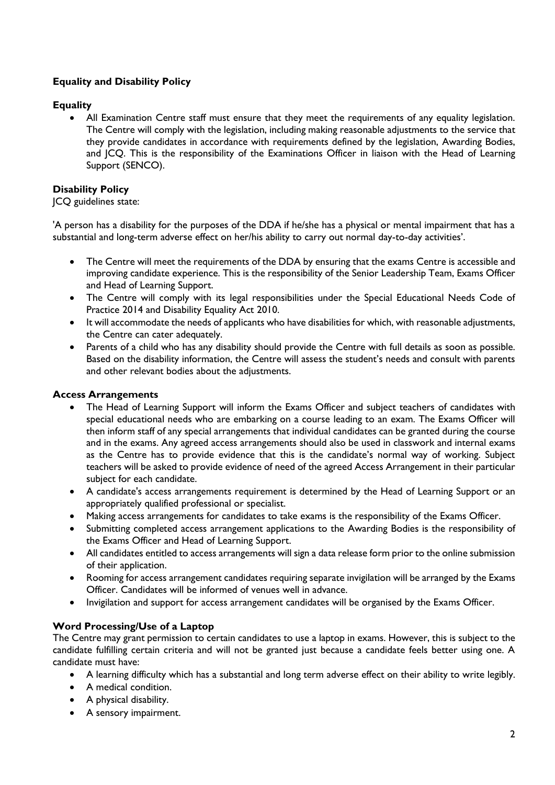# **Equality and Disability Policy**

# **Equality**

• All Examination Centre staff must ensure that they meet the requirements of any equality legislation. The Centre will comply with the legislation, including making reasonable adjustments to the service that they provide candidates in accordance with requirements defined by the legislation, Awarding Bodies, and JCQ. This is the responsibility of the Examinations Officer in liaison with the Head of Learning Support (SENCO).

# **Disability Policy**

## JCQ guidelines state:

'A person has a disability for the purposes of the DDA if he/she has a physical or mental impairment that has a substantial and long-term adverse effect on her/his ability to carry out normal day-to-day activities'.

- The Centre will meet the requirements of the DDA by ensuring that the exams Centre is accessible and improving candidate experience. This is the responsibility of the Senior Leadership Team, Exams Officer and Head of Learning Support.
- The Centre will comply with its legal responsibilities under the Special Educational Needs Code of Practice 2014 and Disability Equality Act 2010.
- It will accommodate the needs of applicants who have disabilities for which, with reasonable adjustments, the Centre can cater adequately.
- Parents of a child who has any disability should provide the Centre with full details as soon as possible. Based on the disability information, the Centre will assess the student's needs and consult with parents and other relevant bodies about the adjustments.

## **Access Arrangements**

- The Head of Learning Support will inform the Exams Officer and subject teachers of candidates with special educational needs who are embarking on a course leading to an exam. The Exams Officer will then inform staff of any special arrangements that individual candidates can be granted during the course and in the exams. Any agreed access arrangements should also be used in classwork and internal exams as the Centre has to provide evidence that this is the candidate's normal way of working. Subject teachers will be asked to provide evidence of need of the agreed Access Arrangement in their particular subject for each candidate.
- A candidate's access arrangements requirement is determined by the Head of Learning Support or an appropriately qualified professional or specialist.
- Making access arrangements for candidates to take exams is the responsibility of the Exams Officer.
- Submitting completed access arrangement applications to the Awarding Bodies is the responsibility of the Exams Officer and Head of Learning Support.
- All candidates entitled to access arrangements will sign a data release form prior to the online submission of their application.
- Rooming for access arrangement candidates requiring separate invigilation will be arranged by the Exams Officer. Candidates will be informed of venues well in advance.
- Invigilation and support for access arrangement candidates will be organised by the Exams Officer.

## **Word Processing/Use of a Laptop**

The Centre may grant permission to certain candidates to use a laptop in exams. However, this is subject to the candidate fulfilling certain criteria and will not be granted just because a candidate feels better using one. A candidate must have:

- A learning difficulty which has a substantial and long term adverse effect on their ability to write legibly.
- A medical condition.
- A physical disability.
- A sensory impairment.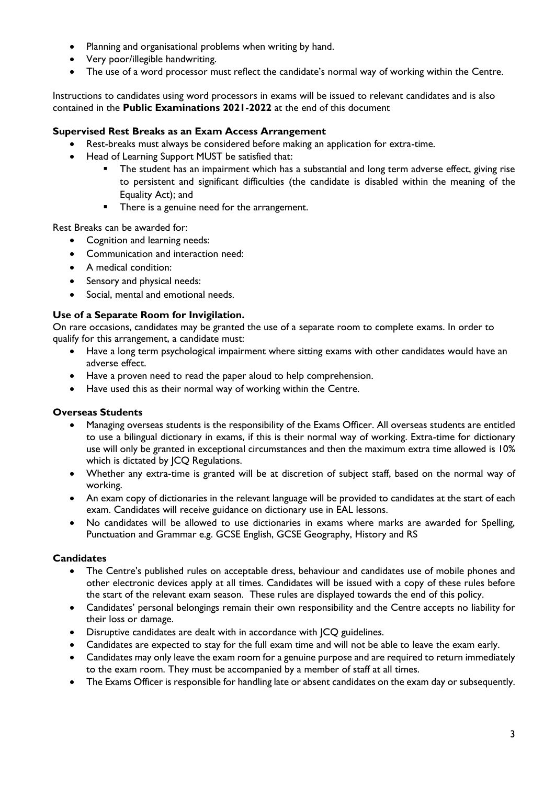- Planning and organisational problems when writing by hand.
- Very poor/illegible handwriting.
- The use of a word processor must reflect the candidate's normal way of working within the Centre.

Instructions to candidates using word processors in exams will be issued to relevant candidates and is also contained in the **Public Examinations 2021-2022** at the end of this document

# **Supervised Rest Breaks as an Exam Access Arrangement**

- Rest-breaks must always be considered before making an application for extra-time.
- Head of Learning Support MUST be satisfied that:
	- The student has an impairment which has a substantial and long term adverse effect, giving rise to persistent and significant difficulties (the candidate is disabled within the meaning of the Equality Act); and
	- There is a genuine need for the arrangement.

Rest Breaks can be awarded for:

- Cognition and learning needs:
- Communication and interaction need:
- A medical condition:
- Sensory and physical needs:
- Social, mental and emotional needs.

# **Use of a Separate Room for Invigilation.**

On rare occasions, candidates may be granted the use of a separate room to complete exams. In order to qualify for this arrangement, a candidate must:

- Have a long term psychological impairment where sitting exams with other candidates would have an adverse effect.
- Have a proven need to read the paper aloud to help comprehension.
- Have used this as their normal way of working within the Centre.

## **Overseas Students**

- Managing overseas students is the responsibility of the Exams Officer. All overseas students are entitled to use a bilingual dictionary in exams, if this is their normal way of working. Extra-time for dictionary use will only be granted in exceptional circumstances and then the maximum extra time allowed is 10% which is dictated by JCQ Regulations.
- Whether any extra-time is granted will be at discretion of subject staff, based on the normal way of working.
- An exam copy of dictionaries in the relevant language will be provided to candidates at the start of each exam. Candidates will receive guidance on dictionary use in EAL lessons.
- No candidates will be allowed to use dictionaries in exams where marks are awarded for Spelling, Punctuation and Grammar e.g. GCSE English, GCSE Geography, History and RS

## **Candidates**

- The Centre's published rules on acceptable dress, behaviour and candidates use of mobile phones and other electronic devices apply at all times. Candidates will be issued with a copy of these rules before the start of the relevant exam season. These rules are displayed towards the end of this policy.
- Candidates' personal belongings remain their own responsibility and the Centre accepts no liability for their loss or damage.
- Disruptive candidates are dealt with in accordance with JCQ guidelines.
- Candidates are expected to stay for the full exam time and will not be able to leave the exam early.
- Candidates may only leave the exam room for a genuine purpose and are required to return immediately to the exam room. They must be accompanied by a member of staff at all times.
- The Exams Officer is responsible for handling late or absent candidates on the exam day or subsequently.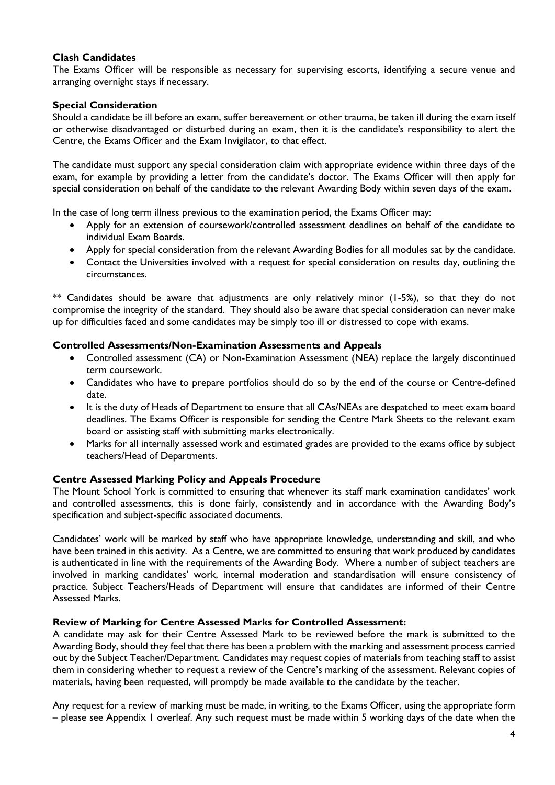## **Clash Candidates**

The Exams Officer will be responsible as necessary for supervising escorts, identifying a secure venue and arranging overnight stays if necessary.

## **Special Consideration**

Should a candidate be ill before an exam, suffer bereavement or other trauma, be taken ill during the exam itself or otherwise disadvantaged or disturbed during an exam, then it is the candidate's responsibility to alert the Centre, the Exams Officer and the Exam Invigilator, to that effect.

The candidate must support any special consideration claim with appropriate evidence within three days of the exam, for example by providing a letter from the candidate's doctor. The Exams Officer will then apply for special consideration on behalf of the candidate to the relevant Awarding Body within seven days of the exam.

In the case of long term illness previous to the examination period, the Exams Officer may:

- Apply for an extension of coursework/controlled assessment deadlines on behalf of the candidate to individual Exam Boards.
- Apply for special consideration from the relevant Awarding Bodies for all modules sat by the candidate.
- Contact the Universities involved with a request for special consideration on results day, outlining the circumstances.

 $**$  Candidates should be aware that adjustments are only relatively minor (1-5%), so that they do not compromise the integrity of the standard. They should also be aware that special consideration can never make up for difficulties faced and some candidates may be simply too ill or distressed to cope with exams.

### **Controlled Assessments/Non-Examination Assessments and Appeals**

- Controlled assessment (CA) or Non-Examination Assessment (NEA) replace the largely discontinued term coursework.
- Candidates who have to prepare portfolios should do so by the end of the course or Centre-defined date.
- It is the duty of Heads of Department to ensure that all CAs/NEAs are despatched to meet exam board deadlines. The Exams Officer is responsible for sending the Centre Mark Sheets to the relevant exam board or assisting staff with submitting marks electronically.
- Marks for all internally assessed work and estimated grades are provided to the exams office by subject teachers/Head of Departments.

#### **Centre Assessed Marking Policy and Appeals Procedure**

The Mount School York is committed to ensuring that whenever its staff mark examination candidates' work and controlled assessments, this is done fairly, consistently and in accordance with the Awarding Body's specification and subject-specific associated documents.

Candidates' work will be marked by staff who have appropriate knowledge, understanding and skill, and who have been trained in this activity. As a Centre, we are committed to ensuring that work produced by candidates is authenticated in line with the requirements of the Awarding Body. Where a number of subject teachers are involved in marking candidates' work, internal moderation and standardisation will ensure consistency of practice. Subject Teachers/Heads of Department will ensure that candidates are informed of their Centre Assessed Marks.

#### **Review of Marking for Centre Assessed Marks for Controlled Assessment:**

A candidate may ask for their Centre Assessed Mark to be reviewed before the mark is submitted to the Awarding Body, should they feel that there has been a problem with the marking and assessment process carried out by the Subject Teacher/Department. Candidates may request copies of materials from teaching staff to assist them in considering whether to request a review of the Centre's marking of the assessment. Relevant copies of materials, having been requested, will promptly be made available to the candidate by the teacher.

Any request for a review of marking must be made, in writing, to the Exams Officer, using the appropriate form – please see Appendix 1 overleaf. Any such request must be made within 5 working days of the date when the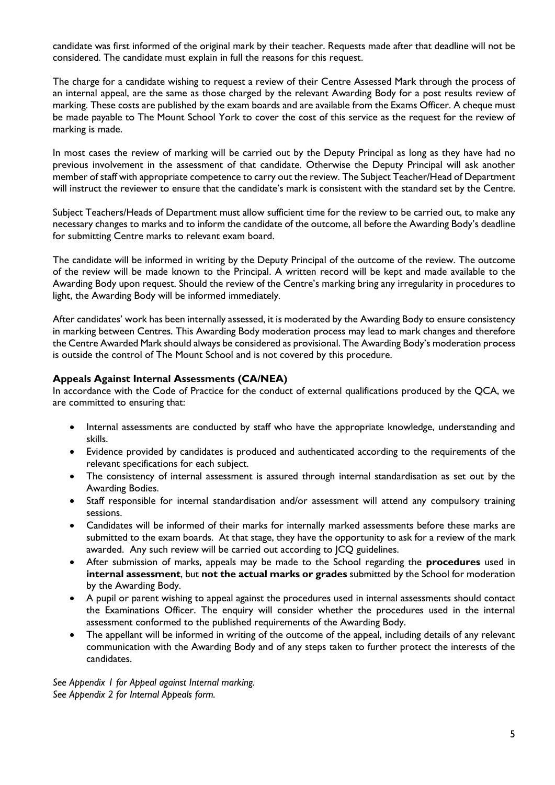candidate was first informed of the original mark by their teacher. Requests made after that deadline will not be considered. The candidate must explain in full the reasons for this request.

The charge for a candidate wishing to request a review of their Centre Assessed Mark through the process of an internal appeal, are the same as those charged by the relevant Awarding Body for a post results review of marking. These costs are published by the exam boards and are available from the Exams Officer. A cheque must be made payable to The Mount School York to cover the cost of this service as the request for the review of marking is made.

In most cases the review of marking will be carried out by the Deputy Principal as long as they have had no previous involvement in the assessment of that candidate. Otherwise the Deputy Principal will ask another member of staff with appropriate competence to carry out the review. The Subject Teacher/Head of Department will instruct the reviewer to ensure that the candidate's mark is consistent with the standard set by the Centre.

Subject Teachers/Heads of Department must allow sufficient time for the review to be carried out, to make any necessary changes to marks and to inform the candidate of the outcome, all before the Awarding Body's deadline for submitting Centre marks to relevant exam board.

The candidate will be informed in writing by the Deputy Principal of the outcome of the review. The outcome of the review will be made known to the Principal. A written record will be kept and made available to the Awarding Body upon request. Should the review of the Centre's marking bring any irregularity in procedures to light, the Awarding Body will be informed immediately.

After candidates' work has been internally assessed, it is moderated by the Awarding Body to ensure consistency in marking between Centres. This Awarding Body moderation process may lead to mark changes and therefore the Centre Awarded Mark should always be considered as provisional. The Awarding Body's moderation process is outside the control of The Mount School and is not covered by this procedure.

### **Appeals Against Internal Assessments (CA/NEA)**

In accordance with the Code of Practice for the conduct of external qualifications produced by the QCA, we are committed to ensuring that:

- Internal assessments are conducted by staff who have the appropriate knowledge, understanding and skills.
- Evidence provided by candidates is produced and authenticated according to the requirements of the relevant specifications for each subject.
- The consistency of internal assessment is assured through internal standardisation as set out by the Awarding Bodies.
- Staff responsible for internal standardisation and/or assessment will attend any compulsory training sessions.
- Candidates will be informed of their marks for internally marked assessments before these marks are submitted to the exam boards. At that stage, they have the opportunity to ask for a review of the mark awarded. Any such review will be carried out according to JCQ guidelines.
- After submission of marks, appeals may be made to the School regarding the **procedures** used in **internal assessment**, but **not the actual marks or grades** submitted by the School for moderation by the Awarding Body.
- A pupil or parent wishing to appeal against the procedures used in internal assessments should contact the Examinations Officer. The enquiry will consider whether the procedures used in the internal assessment conformed to the published requirements of the Awarding Body.
- The appellant will be informed in writing of the outcome of the appeal, including details of any relevant communication with the Awarding Body and of any steps taken to further protect the interests of the candidates.

*See Appendix 1 for Appeal against Internal marking. See Appendix 2 for Internal Appeals form.*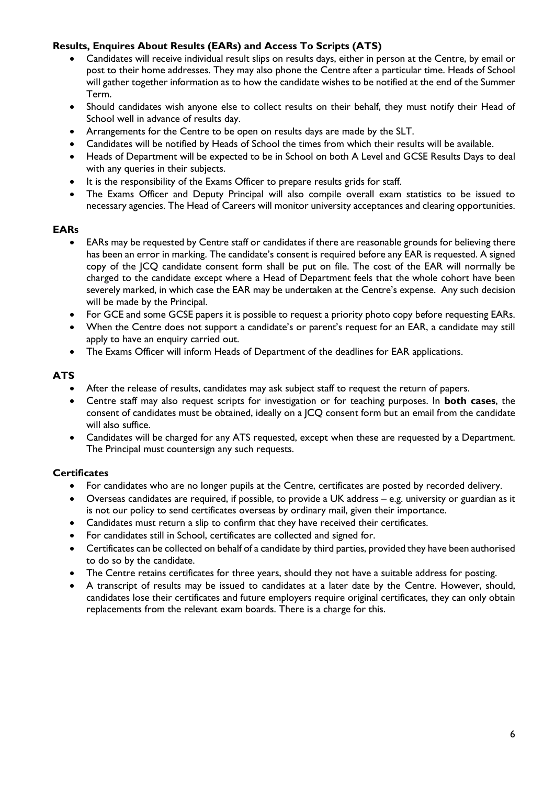# **Results, Enquires About Results (EARs) and Access To Scripts (ATS)**

- Candidates will receive individual result slips on results days, either in person at the Centre, by email or post to their home addresses. They may also phone the Centre after a particular time. Heads of School will gather together information as to how the candidate wishes to be notified at the end of the Summer Term.
- Should candidates wish anyone else to collect results on their behalf, they must notify their Head of School well in advance of results day.
- Arrangements for the Centre to be open on results days are made by the SLT.
- Candidates will be notified by Heads of School the times from which their results will be available.
- Heads of Department will be expected to be in School on both A Level and GCSE Results Days to deal with any queries in their subjects.
- It is the responsibility of the Exams Officer to prepare results grids for staff.
- The Exams Officer and Deputy Principal will also compile overall exam statistics to be issued to necessary agencies. The Head of Careers will monitor university acceptances and clearing opportunities.

#### **EARs**

- EARs may be requested by Centre staff or candidates if there are reasonable grounds for believing there has been an error in marking. The candidate's consent is required before any EAR is requested. A signed copy of the JCQ candidate consent form shall be put on file. The cost of the EAR will normally be charged to the candidate except where a Head of Department feels that the whole cohort have been severely marked, in which case the EAR may be undertaken at the Centre's expense. Any such decision will be made by the Principal.
- For GCE and some GCSE papers it is possible to request a priority photo copy before requesting EARs.
- When the Centre does not support a candidate's or parent's request for an EAR, a candidate may still apply to have an enquiry carried out.
- The Exams Officer will inform Heads of Department of the deadlines for EAR applications.

### **ATS**

- After the release of results, candidates may ask subject staff to request the return of papers.
- Centre staff may also request scripts for investigation or for teaching purposes. In **both cases**, the consent of candidates must be obtained, ideally on a JCQ consent form but an email from the candidate will also suffice.
- Candidates will be charged for any ATS requested, except when these are requested by a Department. The Principal must countersign any such requests.

#### **Certificates**

- For candidates who are no longer pupils at the Centre, certificates are posted by recorded delivery.
- Overseas candidates are required, if possible, to provide a UK address e.g. university or guardian as it is not our policy to send certificates overseas by ordinary mail, given their importance.
- Candidates must return a slip to confirm that they have received their certificates.
- For candidates still in School, certificates are collected and signed for.
- Certificates can be collected on behalf of a candidate by third parties, provided they have been authorised to do so by the candidate.
- The Centre retains certificates for three years, should they not have a suitable address for posting.
- A transcript of results may be issued to candidates at a later date by the Centre. However, should, candidates lose their certificates and future employers require original certificates, they can only obtain replacements from the relevant exam boards. There is a charge for this.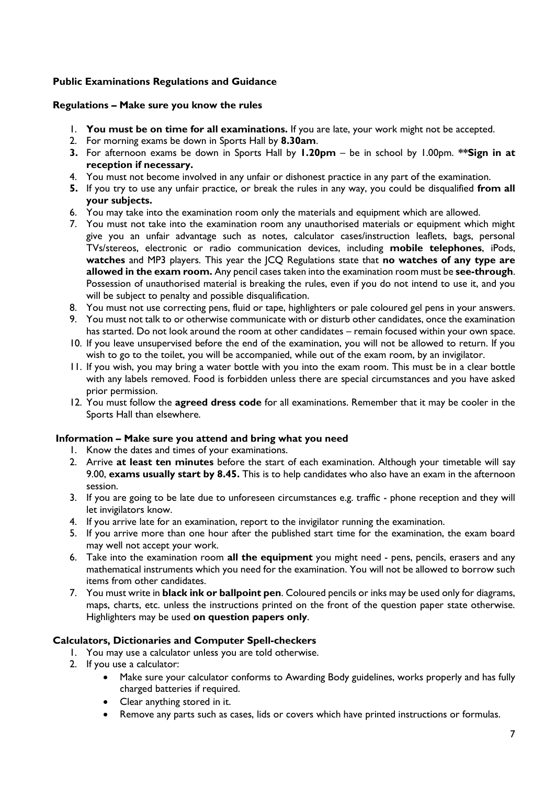# **Public Examinations Regulations and Guidance**

### **Regulations – Make sure you know the rules**

- 1. **You must be on time for all examinations.** If you are late, your work might not be accepted.
- 2. For morning exams be down in Sports Hall by **8.30am**.
- **3.** For afternoon exams be down in Sports Hall by **1.20pm** be in school by 1.00pm. **\*\*Sign in at reception if necessary.**
- 4. You must not become involved in any unfair or dishonest practice in any part of the examination.
- **5.** If you try to use any unfair practice, or break the rules in any way, you could be disqualified **from all your subjects.**
- 6. You may take into the examination room only the materials and equipment which are allowed.
- 7. You must not take into the examination room any unauthorised materials or equipment which might give you an unfair advantage such as notes, calculator cases/instruction leaflets, bags, personal TVs/stereos, electronic or radio communication devices, including **mobile telephones**, iPods, **watches** and MP3 players. This year the JCQ Regulations state that **no watches of any type are allowed in the exam room.** Any pencil cases taken into the examination room must be **see-through**. Possession of unauthorised material is breaking the rules, even if you do not intend to use it, and you will be subject to penalty and possible disqualification.
- 8. You must not use correcting pens, fluid or tape, highlighters or pale coloured gel pens in your answers.
- 9. You must not talk to or otherwise communicate with or disturb other candidates, once the examination has started. Do not look around the room at other candidates – remain focused within your own space.
- 10. If you leave unsupervised before the end of the examination, you will not be allowed to return. If you wish to go to the toilet, you will be accompanied, while out of the exam room, by an invigilator.
- 11. If you wish, you may bring a water bottle with you into the exam room. This must be in a clear bottle with any labels removed. Food is forbidden unless there are special circumstances and you have asked prior permission.
- 12. You must follow the **agreed dress code** for all examinations. Remember that it may be cooler in the Sports Hall than elsewhere.

#### **Information – Make sure you attend and bring what you need**

- 1. Know the dates and times of your examinations.
- 2. Arrive **at least ten minutes** before the start of each examination. Although your timetable will say 9.00, **exams usually start by 8.45.** This is to help candidates who also have an exam in the afternoon session.
- 3. If you are going to be late due to unforeseen circumstances e.g. traffic phone reception and they will let invigilators know.
- 4. If you arrive late for an examination, report to the invigilator running the examination.
- 5. If you arrive more than one hour after the published start time for the examination, the exam board may well not accept your work.
- 6. Take into the examination room **all the equipment** you might need pens, pencils, erasers and any mathematical instruments which you need for the examination. You will not be allowed to borrow such items from other candidates.
- 7. You must write in **black ink or ballpoint pen**. Coloured pencils or inks may be used only for diagrams, maps, charts, etc. unless the instructions printed on the front of the question paper state otherwise. Highlighters may be used **on question papers only**.

## **Calculators, Dictionaries and Computer Spell-checkers**

- 1. You may use a calculator unless you are told otherwise.
- 2. If you use a calculator:
	- Make sure your calculator conforms to Awarding Body guidelines, works properly and has fully charged batteries if required.
	- Clear anything stored in it.
	- Remove any parts such as cases, lids or covers which have printed instructions or formulas.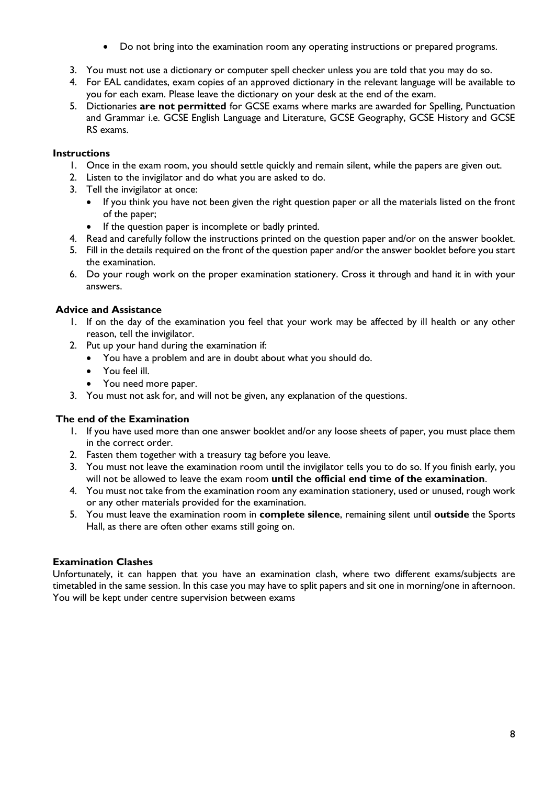- Do not bring into the examination room any operating instructions or prepared programs.
- 3. You must not use a dictionary or computer spell checker unless you are told that you may do so.
- 4. For EAL candidates, exam copies of an approved dictionary in the relevant language will be available to you for each exam. Please leave the dictionary on your desk at the end of the exam.
- 5. Dictionaries **are not permitted** for GCSE exams where marks are awarded for Spelling, Punctuation and Grammar i.e. GCSE English Language and Literature, GCSE Geography, GCSE History and GCSE RS exams.

# **Instructions**

- 1. Once in the exam room, you should settle quickly and remain silent, while the papers are given out.
- 2. Listen to the invigilator and do what you are asked to do.
- 3. Tell the invigilator at once:
	- If you think you have not been given the right question paper or all the materials listed on the front of the paper;
	- If the question paper is incomplete or badly printed.
- 4. Read and carefully follow the instructions printed on the question paper and/or on the answer booklet.
- 5. Fill in the details required on the front of the question paper and/or the answer booklet before you start the examination.
- 6. Do your rough work on the proper examination stationery. Cross it through and hand it in with your answers.

# **Advice and Assistance**

- 1. If on the day of the examination you feel that your work may be affected by ill health or any other reason, tell the invigilator.
- 2. Put up your hand during the examination if:
	- You have a problem and are in doubt about what you should do.
	- You feel ill.
	- You need more paper.
- 3. You must not ask for, and will not be given, any explanation of the questions.

# **The end of the Examination**

- 1. If you have used more than one answer booklet and/or any loose sheets of paper, you must place them in the correct order.
- 2. Fasten them together with a treasury tag before you leave.
- 3. You must not leave the examination room until the invigilator tells you to do so. If you finish early, you will not be allowed to leave the exam room **until the official end time of the examination**.
- 4. You must not take from the examination room any examination stationery, used or unused, rough work or any other materials provided for the examination.
- 5. You must leave the examination room in **complete silence**, remaining silent until **outside** the Sports Hall, as there are often other exams still going on.

# **Examination Clashes**

Unfortunately, it can happen that you have an examination clash, where two different exams/subjects are timetabled in the same session. In this case you may have to split papers and sit one in morning/one in afternoon. You will be kept under centre supervision between exams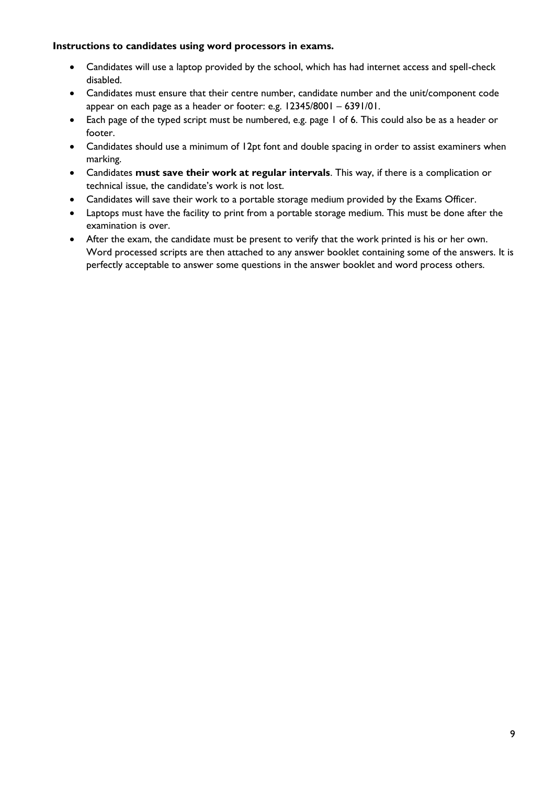## **Instructions to candidates using word processors in exams.**

- Candidates will use a laptop provided by the school, which has had internet access and spell-check disabled.
- Candidates must ensure that their centre number, candidate number and the unit/component code appear on each page as a header or footer: e.g. 12345/8001 – 6391/01.
- Each page of the typed script must be numbered, e.g. page 1 of 6. This could also be as a header or footer.
- Candidates should use a minimum of 12pt font and double spacing in order to assist examiners when marking.
- Candidates **must save their work at regular intervals**. This way, if there is a complication or technical issue, the candidate's work is not lost.
- Candidates will save their work to a portable storage medium provided by the Exams Officer.
- Laptops must have the facility to print from a portable storage medium. This must be done after the examination is over.
- After the exam, the candidate must be present to verify that the work printed is his or her own. Word processed scripts are then attached to any answer booklet containing some of the answers. It is perfectly acceptable to answer some questions in the answer booklet and word process others.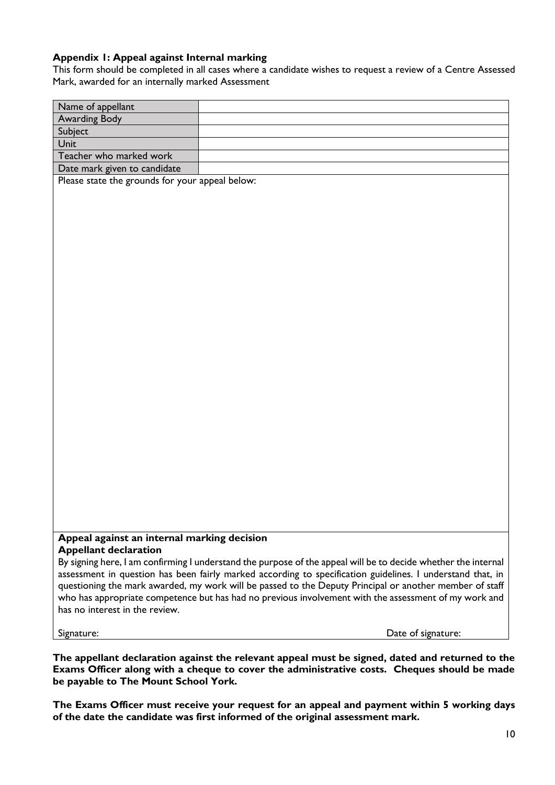## **Appendix 1: Appeal against Internal marking**

This form should be completed in all cases where a candidate wishes to request a review of a Centre Assessed Mark, awarded for an internally marked Assessment

| Name of appellant                                                                                              |                                                                                                         |  |  |  |
|----------------------------------------------------------------------------------------------------------------|---------------------------------------------------------------------------------------------------------|--|--|--|
| <b>Awarding Body</b>                                                                                           |                                                                                                         |  |  |  |
| Subject                                                                                                        |                                                                                                         |  |  |  |
| Unit                                                                                                           |                                                                                                         |  |  |  |
| Teacher who marked work                                                                                        |                                                                                                         |  |  |  |
| Date mark given to candidate                                                                                   |                                                                                                         |  |  |  |
| Please state the grounds for your appeal below:                                                                |                                                                                                         |  |  |  |
|                                                                                                                |                                                                                                         |  |  |  |
|                                                                                                                |                                                                                                         |  |  |  |
|                                                                                                                |                                                                                                         |  |  |  |
|                                                                                                                |                                                                                                         |  |  |  |
|                                                                                                                |                                                                                                         |  |  |  |
|                                                                                                                |                                                                                                         |  |  |  |
|                                                                                                                |                                                                                                         |  |  |  |
|                                                                                                                |                                                                                                         |  |  |  |
|                                                                                                                |                                                                                                         |  |  |  |
|                                                                                                                |                                                                                                         |  |  |  |
|                                                                                                                |                                                                                                         |  |  |  |
|                                                                                                                |                                                                                                         |  |  |  |
|                                                                                                                |                                                                                                         |  |  |  |
|                                                                                                                |                                                                                                         |  |  |  |
|                                                                                                                |                                                                                                         |  |  |  |
|                                                                                                                |                                                                                                         |  |  |  |
|                                                                                                                |                                                                                                         |  |  |  |
|                                                                                                                |                                                                                                         |  |  |  |
|                                                                                                                |                                                                                                         |  |  |  |
|                                                                                                                |                                                                                                         |  |  |  |
|                                                                                                                |                                                                                                         |  |  |  |
|                                                                                                                |                                                                                                         |  |  |  |
|                                                                                                                |                                                                                                         |  |  |  |
|                                                                                                                |                                                                                                         |  |  |  |
|                                                                                                                |                                                                                                         |  |  |  |
|                                                                                                                |                                                                                                         |  |  |  |
|                                                                                                                |                                                                                                         |  |  |  |
|                                                                                                                |                                                                                                         |  |  |  |
| Appeal against an internal marking decision                                                                    |                                                                                                         |  |  |  |
| <b>Appellant declaration</b>                                                                                   |                                                                                                         |  |  |  |
| By signing here, I am confirming I understand the purpose of the appeal will be to decide whether the internal |                                                                                                         |  |  |  |
| assessment in question has been fairly marked according to specification guidelines. I understand that, in     |                                                                                                         |  |  |  |
|                                                                                                                | questioning the mark awarded, my work will be passed to the Deputy Principal or another member of staff |  |  |  |
|                                                                                                                | who has appropriate competence but has had no previous involvement with the assessment of my work and   |  |  |  |
| has no interest in the review.                                                                                 |                                                                                                         |  |  |  |
|                                                                                                                |                                                                                                         |  |  |  |
| Signature:                                                                                                     | Date of signature:                                                                                      |  |  |  |

**The appellant declaration against the relevant appeal must be signed, dated and returned to the Exams Officer along with a cheque to cover the administrative costs. Cheques should be made be payable to The Mount School York.**

**The Exams Officer must receive your request for an appeal and payment within 5 working days of the date the candidate was first informed of the original assessment mark.**